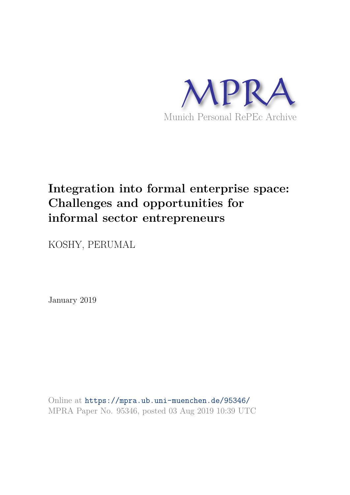

# **Integration into formal enterprise space: Challenges and opportunities for informal sector entrepreneurs**

KOSHY, PERUMAL

January 2019

Online at https://mpra.ub.uni-muenchen.de/95346/ MPRA Paper No. 95346, posted 03 Aug 2019 10:39 UTC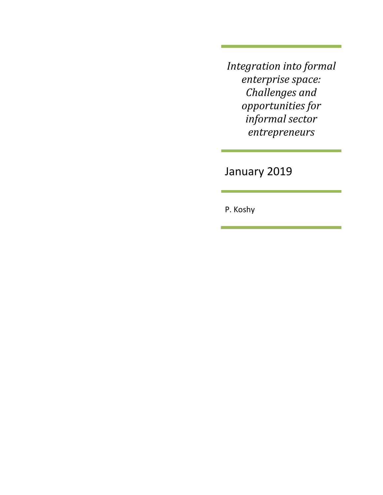*Integration into formal enterprise space: Challenges and opportunities for informal sector entrepreneurs*

January 2019

P. Koshy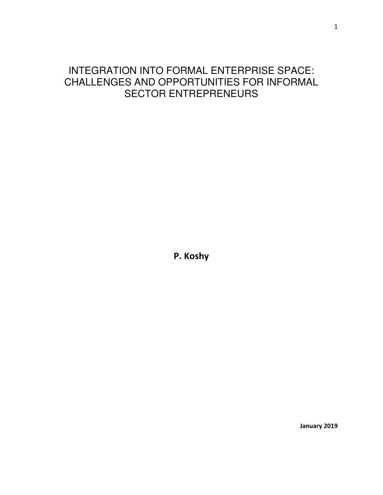# INTEGRATION INTO FORMAL ENTERPRISE SPACE: CHALLENGES AND OPPORTUNITIES FOR INFORMAL SECTOR ENTREPRENEURS

**P. Koshy** 

 **January 2019**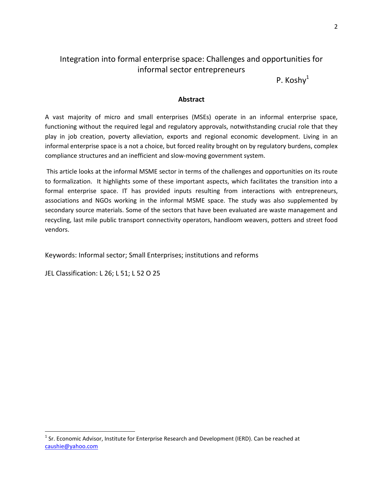### Integration into formal enterprise space: Challenges and opportunities for informal sector entrepreneurs

P. Koshy<sup>1</sup>

#### **Abstract**

A vast majority of micro and small enterprises (MSEs) operate in an informal enterprise space, functioning without the required legal and regulatory approvals, notwithstanding crucial role that they play in job creation, poverty alleviation, exports and regional economic development. Living in an informal enterprise space is a not a choice, but forced reality brought on by regulatory burdens, complex compliance structures and an inefficient and slow-moving government system.

 This article looks at the informal MSME sector in terms of the challenges and opportunities on its route to formalization. It highlights some of these important aspects, which facilitates the transition into a formal enterprise space. IT has provided inputs resulting from interactions with entrepreneurs, associations and NGOs working in the informal MSME space. The study was also supplemented by secondary source materials. Some of the sectors that have been evaluated are waste management and recycling, last mile public transport connectivity operators, handloom weavers, potters and street food vendors.

Keywords: Informal sector; Small Enterprises; institutions and reforms

JEL Classification: L 26; L 51; L 52 O 25

 $\overline{\phantom{0}}$ 

<sup>&</sup>lt;sup>1</sup> Sr. Economic Advisor, Institute for Enterprise Research and Development (IERD). Can be reached at [caushie@yahoo.com](mailto:caushie@yahoo.com)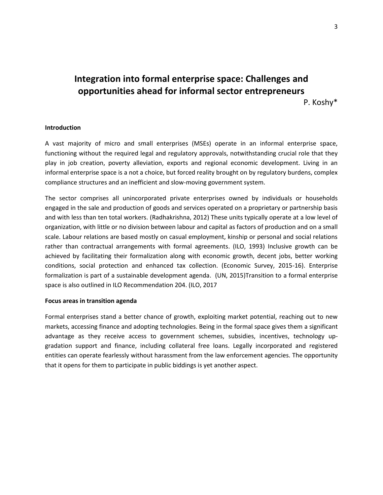## **Integration into formal enterprise space: Challenges and opportunities ahead for informal sector entrepreneurs**  P. Koshy\*

#### **Introduction**

A vast majority of micro and small enterprises (MSEs) operate in an informal enterprise space, functioning without the required legal and regulatory approvals, notwithstanding crucial role that they play in job creation, poverty alleviation, exports and regional economic development. Living in an informal enterprise space is a not a choice, but forced reality brought on by regulatory burdens, complex compliance structures and an inefficient and slow-moving government system.

The sector comprises all unincorporated private enterprises owned by individuals or households engaged in the sale and production of goods and services operated on a proprietary or partnership basis and with less than ten total workers. (Radhakrishna, 2012) These units typically operate at a low level of organization, with little or no division between labour and capital as factors of production and on a small scale. Labour relations are based mostly on casual employment, kinship or personal and social relations rather than contractual arrangements with formal agreements. (ILO, 1993) Inclusive growth can be achieved by facilitating their formalization along with economic growth, decent jobs, better working conditions, social protection and enhanced tax collection. (Economic Survey, 2015-16). Enterprise formalization is part of a sustainable development agenda. (UN, 2015)Transition to a formal enterprise space is also outlined in ILO Recommendation 204. (ILO, 2017

#### **Focus areas in transition agenda**

Formal enterprises stand a better chance of growth, exploiting market potential, reaching out to new markets, accessing finance and adopting technologies. Being in the formal space gives them a significant advantage as they receive access to government schemes, subsidies, incentives, technology upgradation support and finance, including collateral free loans. Legally incorporated and registered entities can operate fearlessly without harassment from the law enforcement agencies. The opportunity that it opens for them to participate in public biddings is yet another aspect.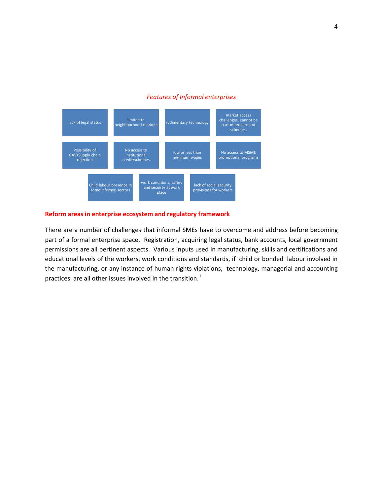#### *Features of Informal enterprises*



#### **Reform areas in enterprise ecosystem and regulatory framework**

There are a number of challenges that informal SMEs have to overcome and address before becoming part of a formal enterprise space. Registration, acquiring legal status, bank accounts, local government permissions are all pertinent aspects. Various inputs used in manufacturing, skills and certifications and educational levels of the workers, work conditions and standards, if child or bonded labour involved in the manufacturing, or any instance of human rights violations, technology, managerial and accounting practices are all other issues involved in the transition.<sup>1</sup>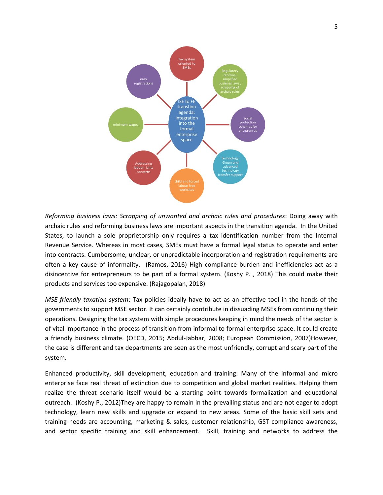

*Reforming business laws: Scrapping of unwanted and archaic rules and procedures*: Doing away with archaic rules and reforming business laws are important aspects in the transition agenda. In the United States, to launch a sole proprietorship only requires a tax identification number from the Internal Revenue Service. Whereas in most cases, SMEs must have a formal legal status to operate and enter into contracts. Cumbersome, unclear, or unpredictable incorporation and registration requirements are often a key cause of informality. (Ramos, 2016) High compliance burden and inefficiencies act as a disincentive for entrepreneurs to be part of a formal system. (Koshy P. , 2018) This could make their products and services too expensive. (Rajagopalan, 2018)

*MSE friendly taxation system*: Tax policies ideally have to act as an effective tool in the hands of the governments to support MSE sector. It can certainly contribute in dissuading MSEs from continuing their operations. Designing the tax system with simple procedures keeping in mind the needs of the sector is of vital importance in the process of transition from informal to formal enterprise space. It could create a friendly business climate. (OECD, 2015; Abdul-Jabbar, 2008; European Commission, 2007)However, the case is different and tax departments are seen as the most unfriendly, corrupt and scary part of the system.

Enhanced productivity, skill development, education and training: Many of the informal and micro enterprise face real threat of extinction due to competition and global market realities. Helping them realize the threat scenario itself would be a starting point towards formalization and educational outreach. (Koshy P., 2012)They are happy to remain in the prevailing status and are not eager to adopt technology, learn new skills and upgrade or expand to new areas. Some of the basic skill sets and training needs are accounting, marketing & sales, customer relationship, GST compliance awareness, and sector specific training and skill enhancement. Skill, training and networks to address the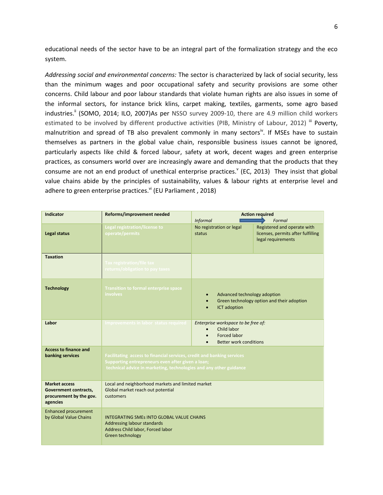educational needs of the sector have to be an integral part of the formalization strategy and the eco system.

*Addressing social and environmental concerns:* The sector is characterized by lack of social security, less than the minimum wages and poor occupational safety and security provisions are some other concerns. Child labour and poor labour standards that violate human rights are also issues in some of the informal sectors, for instance brick klins, carpet making, textiles, garments, some agro based industries.<sup>ii</sup> (SOMO, 2014; ILO, 2007)As per NSSO survey 2009-10, there are 4.9 million child workers estimated to be involved by different productive activities (PIB, Ministry of Labour, 2012) iii Poverty, malnutrition and spread of TB also prevalent commonly in many sectors<sup>iv</sup>. If MSEs have to sustain themselves as partners in the global value chain, responsible business issues cannot be ignored, particularly aspects like child & forced labour, safety at work, decent wages and green enterprise practices, as consumers world over are increasingly aware and demanding that the products that they consume are not an end product of unethical enterprise practices. (EC, 2013) They insist that global value chains abide by the principles of sustainability, values & labour rights at enterprise level and adhere to green enterprise practices. $V$ <sup>i</sup> (EU Parliament, 2018)

| <b>Indicator</b>                                                                     | Reforms/improvement needed                                                                                                                                                                        | <b>Action required</b>                                                                                         |                                                                                                   |
|--------------------------------------------------------------------------------------|---------------------------------------------------------------------------------------------------------------------------------------------------------------------------------------------------|----------------------------------------------------------------------------------------------------------------|---------------------------------------------------------------------------------------------------|
| Legal status                                                                         | Legal registration/license to<br>operate/permits                                                                                                                                                  | <b>Informal</b><br>No registration or legal<br>status                                                          | Formal<br>Registered and operate with<br>licenses, permits after fulfilling<br>legal requirements |
| <b>Taxation</b>                                                                      | <b>Tax registration/file tax</b><br>returns/obligation to pay taxes                                                                                                                               |                                                                                                                |                                                                                                   |
| <b>Technology</b>                                                                    | <b>Transition to formal enterprise space</b><br>involves                                                                                                                                          | Advanced technology adoption<br>$\bullet$<br>Green technology option and their adoption<br><b>ICT</b> adoption |                                                                                                   |
| Labor                                                                                | Improvements in labor status required                                                                                                                                                             | Enterprise workspace to be free of:<br>Child labor<br><b>Forced labor</b><br>Better work conditions            |                                                                                                   |
| <b>Access to finance and</b><br>banking services                                     | Facilitating access to financial services, credit and banking services<br>Supporting entrepreneurs even after given a loan;<br>technical advice in marketing, technologies and any other guidance |                                                                                                                |                                                                                                   |
| <b>Market access</b><br>Government contracts,<br>procurement by the gov.<br>agencies | Local and neighborhood markets and limited market<br>Global market reach out potential<br>customers                                                                                               |                                                                                                                |                                                                                                   |
| <b>Enhanced procurement</b><br>by Global Value Chains                                | <b>INTEGRATING SMES INTO GLOBAL VALUE CHAINS</b><br>Addressing labour standards<br>Address Child labor, Forced labor<br>Green technology                                                          |                                                                                                                |                                                                                                   |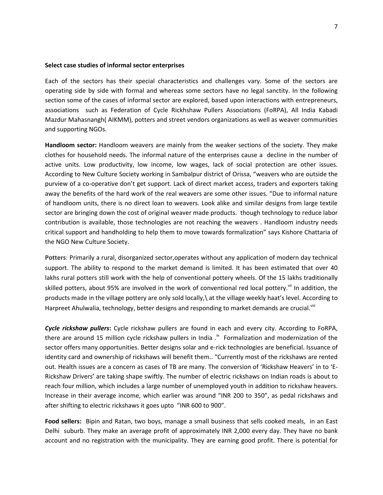#### **Select case studies of informal sector enterprises**

Each of the sectors has their special characteristics and challenges vary. Some of the sectors are operating side by side with formal and whereas some sectors have no legal sanctity. In the following section some of the cases of informal sector are explored, based upon interactions with entrepreneurs, associations such as Federation of Cycle Rickhshaw Pullers Associations (FoRPA), All India Kabadi Mazdur Mahasnangh( AIKMM), potters and street vendors organizations as well as weaver communities and supporting NGOs.

**Handloom sector:** Handloom weavers are mainly from the weaker sections of the society. They make clothes for household needs. The informal nature of the enterprises cause a decline in the number of active units. Low productivity, low income, low wages, lack of social protection are other issues. According to New Culture Society working in Sambalpur district of Orissa, "weavers who are outside the purview of a co-operative don't get support. Lack of direct market access, traders and exporters taking away the benefits of the hard work of the real weavers are some other issues. "Due to informal nature of handloom units, there is no direct loan to weavers. Look alike and similar designs from large textile sector are bringing down the cost of original weaver made products. though technology to reduce labor contribution is available, those technologies are not reaching the weavers . Handloom industry needs critical support and handholding to help them to move towards formalization" says Kishore Chattaria of the NGO New Culture Society.

**Potters**: Primarily a rural, disorganized sector,operates without any application of modern day technical support. The ability to respond to the market demand is limited. It has been estimated that over 40 lakhs rural potters still work with the help of conventional pottery wheels. Of the 15 lakhs traditionally skilled potters, about 95% are involved in the work of conventional red local pottery.<sup>vii</sup> In addition, the products made in the village pottery are only sold locally,\ at the village weekly haat's level. According to Harpreet Ahulwalia, technology, better designs and responding to market demands are crucial.<sup>viii</sup>

*Cycle rickshaw pullers***:** Cycle rickshaw pullers are found in each and every city. According to FoRPA, there are around 15 million cycle rickshaw pullers in India  $.$ <sup>ix</sup> Formalization and modernization of the sector offers many opportunities. Better designs solar and e-rick technologies are beneficial. Issuance of identity card and ownership of rickshaws will benefit them.. "Currently most of the rickshaws are rented out. Health issues are a concern as cases of TB are many. The conversion of 'Rickshaw Heavers' in to 'E-Rickshaw Drivers' are taking shape swiftly. The number of electric rickshaws on Indian roads is about to reach four million, which includes a large number of unemployed youth in addition to rickshaw heavers. Increase in their average income, which earlier was around "INR 200 to 350", as pedal rickshaws and after shifting to electric rickshaws it goes upto "INR 600 to 900".

**Food sellers:** Bipin and Ratan, two boys, manage a small business that sells cooked meals, in an East Delhi suburb. They make an average profit of approximately INR 2,000 every day. They have no bank account and no registration with the municipality. They are earning good profit. There is potential for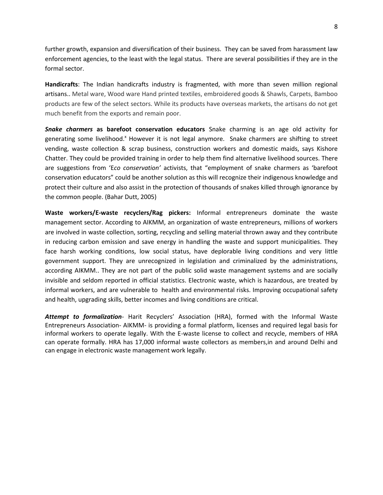further growth, expansion and diversification of their business. They can be saved from harassment law enforcement agencies, to the least with the legal status. There are several possibilities if they are in the formal sector.

**Handicrafts**: The Indian handicrafts industry is fragmented, with more than seven million regional artisans.. Metal ware, Wood ware Hand printed textiles, embroidered goods & Shawls, Carpets, Bamboo products are few of the select sectors. While its products have overseas markets, the artisans do not get much benefit from the exports and remain poor.

*Snake charmers* **as barefoot conservation educators** Snake charming is an age old activity for generating some livelihood.<sup>x</sup> However it is not legal anymore. Snake charmers are shifting to street vending, waste collection & scrap business, construction workers and domestic maids, says Kishore Chatter. They could be provided training in order to help them find alternative livelihood sources. There are suggestions from 'E*co conservation'* activists, that "employment of snake charmers as 'barefoot conservation educators" could be another solution as this will recognize their indigenous knowledge and protect their culture and also assist in the protection of thousands of snakes killed through ignorance by the common people. (Bahar Dutt, 2005)

**Waste workers/E-waste recyclers/Rag pickers:** Informal entrepreneurs dominate the waste management sector. According to AIKMM, an organization of waste entrepreneurs, millions of workers are involved in waste collection, sorting, recycling and selling material thrown away and they contribute in reducing carbon emission and save energy in handling the waste and support municipalities. They face harsh working conditions, low social status, have deplorable living conditions and very little government support. They are unrecognized in legislation and criminalized by the administrations, according AIKMM.. They are not part of the public solid waste management systems and are socially invisible and seldom reported in official statistics. Electronic waste, which is hazardous, are treated by informal workers, and are vulnerable to health and environmental risks. Improving occupational safety and health, upgrading skills, better incomes and living conditions are critical.

*Attempt to formalization-* Harit Recyclers' Association (HRA), formed with the Informal Waste Entrepreneurs Association- AIKMM- is providing a formal platform, licenses and required legal basis for informal workers to operate legally. With the E-waste license to collect and recycle, members of HRA can operate formally. HRA has 17,000 informal waste collectors as members,in and around Delhi and can engage in electronic waste management work legally.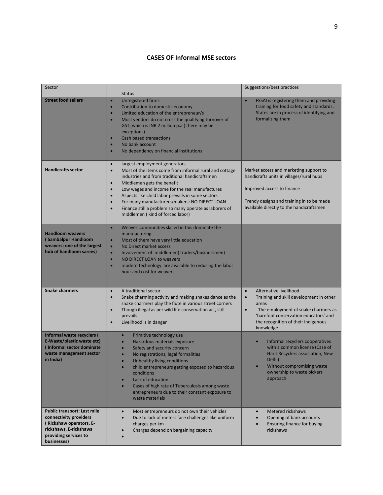#### **CASES OF Informal MSE sectors**

| Sector                                                                                                                                             | <b>Status</b>                                                                                                                                                                                                                                                                                                                                                                                                                                                                                                            | Suggestions/best practices                                                                                                                                                                                                                            |
|----------------------------------------------------------------------------------------------------------------------------------------------------|--------------------------------------------------------------------------------------------------------------------------------------------------------------------------------------------------------------------------------------------------------------------------------------------------------------------------------------------------------------------------------------------------------------------------------------------------------------------------------------------------------------------------|-------------------------------------------------------------------------------------------------------------------------------------------------------------------------------------------------------------------------------------------------------|
| <b>Street food sellers</b>                                                                                                                         | <b>Unregistered firms</b><br>$\bullet$<br>Contribution to domestic economy<br>$\bullet$<br>Limited education of the entrepreneur/s<br>$\bullet$<br>Most vendors do not cross the qualifying turnover of<br>$\bullet$<br>GST, which is INR 2 million p.a (there may be<br>exceptions)<br>Cash based transactions<br>$\bullet$<br>No bank account<br>$\bullet$<br>No dependency on financial institutions<br>$\bullet$                                                                                                     | FSSAI is registering them and providing<br>$\bullet$<br>training for food safety and standards.<br>States are in process of identifying and<br>formalizing them                                                                                       |
| <b>Handicrafts sector</b>                                                                                                                          | largest employment generators<br>$\bullet$<br>Most of the items come from informal rural and cottage<br>$\bullet$<br>industries and from traditional handicraftsmen<br>Middlemen gets the benefit<br>$\bullet$<br>Low wages and income for the real manufactures<br>$\bullet$<br>Aspects like child labor prevails in some sectors<br>$\bullet$<br>For many manufacturers/makers: NO DIRECT LOAN<br>$\bullet$<br>Finance still a problem so many operate as laborers of<br>$\bullet$<br>middlemen (kind of forced labor) | Market access and marketing support to<br>handicrafts units in villages/rural hubs<br>Improved access to finance<br>Trendy designs and training in to be made<br>available directly to the handicraftsmen                                             |
| <b>Handloom weavers</b><br>(Sambalpur Handloom<br>weavers: one of the largest<br>hub of handloom sarees)                                           | $\bullet$<br>Weaver communities skilled in this dominate the<br>manufacturing<br>Most of them have very little education<br>$\bullet$<br>No Direct market access<br>$\bullet$<br>Involvement of middlemen(traders/businessmen)<br>$\bullet$<br>NO DIRECT LOAN to weavers<br>$\bullet$<br>modern technology are available to reducing the labor<br>$\bullet$<br>hour and cost for weavers                                                                                                                                 |                                                                                                                                                                                                                                                       |
| <b>Snake charmers</b>                                                                                                                              | A traditional sector<br>$\bullet$<br>Snake charming activity and making snakes dance as the<br>$\bullet$<br>snake charmers play the flute in various street corners<br>Though illegal as per wild life conservation act, still<br>$\bullet$<br>prevails<br>Livelihood is in danger<br>$\bullet$                                                                                                                                                                                                                          | Alternative livelihood<br>$\bullet$<br>$\bullet$<br>Training and skill development in other<br>areas<br>$\bullet$<br>The employment of snake charmers as<br>'barefoot conservation educators' and<br>the recognition of their indigenous<br>knowledge |
| Informal waste recyclers (<br>E-Waste/plastic waste etc)<br>(Informal sector dominate<br>waste management sector<br>in India)                      | Primitive technology use<br>$\bullet$<br>Hazardous materials exposure<br>$\bullet$<br>Safety and security concern<br>No registrations, legal formalities<br>Unhealthy living conditions<br>child entrepreneurs getting exposed to hazardous<br>$\bullet$<br>conditions<br>Lack of education<br>$\bullet$<br>Cases of high rate of Tuberculosis among waste<br>entrepreneurs due to their constant exposure to<br>waste materials                                                                                         | Informal recyclers cooperatives<br>with a common license (Case of<br>Harit Recyclers association, New<br>Delhi)<br>Without compromising waste<br>$\bullet$<br>ownership to waste pickers<br>approach                                                  |
| Public transport: Last mile<br>connectivity providers<br>(Rickshaw operators, E-<br>rickshaws, E-rickshaws<br>providing services to<br>businesses) | Most entrepreneurs do not own their vehicles<br>$\bullet$<br>Due to lack of meters face challenges like uniform<br>$\bullet$<br>charges per km<br>Charges depend on bargaining capacity                                                                                                                                                                                                                                                                                                                                  | Metered rickshaws<br>Opening of bank accounts<br>Ensuring finance for buying<br>rickshaws                                                                                                                                                             |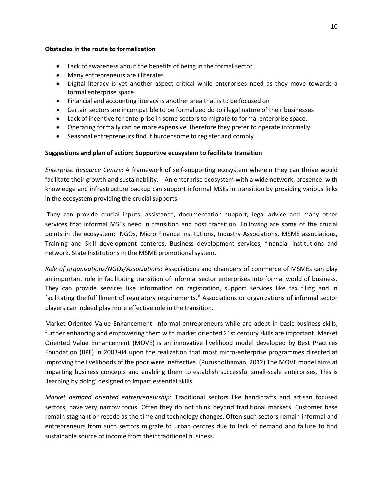#### **Obstacles in the route to formalization**

- Lack of awareness about the benefits of being in the formal sector
- Many entrepreneurs are illiterates
- Digital literacy is yet another aspect critical while enterprises need as they move towards a formal enterprise space
- Financial and accounting literacy is another area that is to be focused on
- Certain sectors are incompatible to be formalized do to illegal nature of their businesses
- Lack of incentive for enterprise in some sectors to migrate to formal enterprise space.
- Operating formally can be more expensive, therefore they prefer to operate informally.
- Seasonal entrepreneurs find it burdensome to register and comply

#### **Suggestions and plan of action: Supportive ecosystem to facilitate transition**

*Enterprise Resource Centre***:** A framework of self-supporting ecosystem wherein they can thrive would facilitate their growth and sustainability. An enterprise ecosystem with a wide network, presence, with knowledge and infrastructure backup can support informal MSEs in transition by providing various links in the ecosystem providing the crucial supports.

 They can provide crucial inputs, assistance, documentation support, legal advice and many other services that informal MSEs need in transition and post transition. Following are some of the crucial points in the ecosystem: NGOs, Micro Finance Institutions, Industry Associations, MSME associations, Training and Skill development centeres, Business development services, financial institutions and network, State Institutions in the MSME promotional system.

*Role of organizations/NGOs/Associations*: Associations and chambers of commerce of MSMEs can play an important role in facilitating transition of informal sector enterprises into formal world of business. They can provide services like information on registration, support services like tax filing and in facilitating the fulfillment of regulatory requirements.<sup>xi</sup> Associations or organizations of informal sector players can indeed play more effective role in the transition.

Market Oriented Value Enhancement: Informal entrepreneurs while are adept in basic business skills, further enhancing and empowering them with market oriented 21st century skills are important. Market Oriented Value Enhancement (MOVE) is an innovative livelihood model developed by Best Practices Foundation (BPF) in 2003-04 upon the realization that most micro-enterprise programmes directed at improving the livelihoods of the poor were ineffective. (Purushothaman, 2012) The MOVE model aims at imparting business concepts and enabling them to establish successful small-scale enterprises. This is 'learning by doing' designed to impart essential skills.

*Market demand oriented entrepreneurship*: Traditional sectors like handicrafts and artisan focused sectors, have very narrow focus. Often they do not think beyond traditional markets. Customer base remain stagnant or recede as the time and technology changes. Often such sectors remain informal and entrepreneurs from such sectors migrate to urban centres due to lack of demand and failure to find sustainable source of income from their traditional business.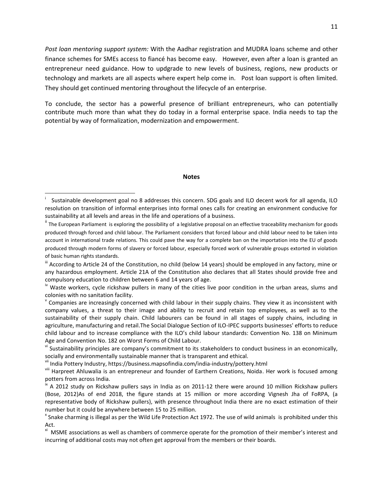*Post loan mentoring support system:* With the Aadhar registration and MUDRA loans scheme and other finance schemes for SMEs access to fiancé has become easy. However, even after a loan is granted an entrepreneur need guidance. How to updgrade to new levels of business, regions, new products or technology and markets are all aspects where expert help come in. Post loan support is often limited. They should get continued mentoring throughout the lifecycle of an enterprise.

To conclude, the sector has a powerful presence of brilliant entrepreneurs, who can potentially contribute much more than what they do today in a formal enterprise space. India needs to tap the potential by way of formalization, modernization and empowerment.

#### **Notes**

l

i Sustainable development goal no 8 addresses this concern. SDG goals and ILO decent work for all agenda, ILO resolution on transition of informal enterprises into formal ones calls for creating an environment conducive for sustainability at all levels and areas in the life and operations of a business.

<sup>&</sup>lt;sup>ii</sup> The European Parliament is exploring the possibility of a legislative proposal on an effective traceability mechanism for goods produced through forced and child labour. The Parliament considers that forced labour and child labour need to be taken into account in international trade relations. This could pave the way for a complete ban on the importation into the EU of goods produced through modern forms of slavery or forced labour, especially forced work of vulnerable groups extorted in violation of basic human rights standards.

III According to Article 24 of the Constitution, no child (below 14 years) should be employed in any factory, mine or any hazardous employment. Article 21A of the Constitution also declares that all States should provide free and compulsory education to children between 6 and 14 years of age.

 $\mu$  Waste workers, cycle rickshaw pullers in many of the cities live poor condition in the urban areas, slums and colonies with no sanitation facility.

 $\rm{v}$  Companies are increasingly concerned with child labour in their supply chains. They view it as inconsistent with company values, a threat to their image and ability to recruit and retain top employees, as well as to the sustainability of their supply chain. Child labourers can be found in all stages of supply chains, including in agriculture, manufacturing and retail.The Social Dialogue Section of ILO-IPEC supports businesses' efforts to reduce child labour and to increase compliance with the ILO's child labour standards: Convention No. 138 on Minimum Age and Convention No. 182 on Worst Forms of Child Labour.

v<sup>i</sup> Sustainability principles are company's commitment to its stakeholders to conduct business in an economically, socially and environmentally sustainable manner that is transparent and ethical.

vii India Pottery Industry, https://business.mapsofindia.com/india-industry/pottery.html

viii Harpreet Ahluwalia is an entrepreneur and founder of Earthern Creations, Noida. Her work is focused among potters from across India.

 $\frac{1}{2}$  A 2012 study on Rickshaw pullers says in India as on 2011-12 there were around 10 million Rickshaw pullers (Bose, 2012)As of end 2018, the figure stands at 15 million or more according Vignesh Jha of FoRPA, (a representative body of Rickshaw pullers), with presence throughout India there are no exact estimation of their number but it could be anywhere between 15 to 25 million.

x Snake charming is illegal as per the Wild Life Protection Act 1972. The use of wild animals is prohibited under this Act.

<sup>&</sup>lt;sup>xi</sup> MSME associations as well as chambers of commerce operate for the promotion of their member's interest and incurring of additional costs may not often get approval from the members or their boards.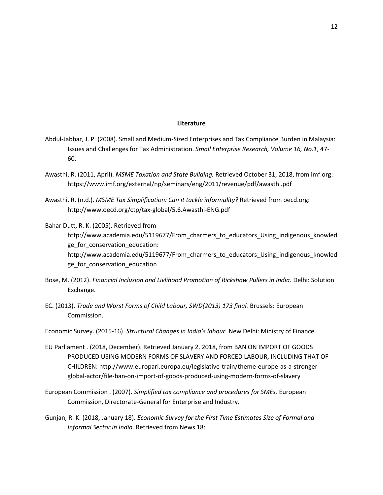#### **Literature**

l

- Abdul-Jabbar, J. P. (2008). Small and Medium-Sized Enterprises and Tax Compliance Burden in Malaysia: Issues and Challenges for Tax Administration. *Small Enterprise Research, Volume 16, No.1*, 47- 60.
- Awasthi, R. (2011, April). *MSME Taxation and State Building.* Retrieved October 31, 2018, from imf.org: https://www.imf.org/external/np/seminars/eng/2011/revenue/pdf/awasthi.pdf
- Awasthi, R. (n.d.). *MSME Tax Simplification: Can it tackle informality?* Retrieved from oecd.org: http://www.oecd.org/ctp/tax-global/5.6.Awasthi-ENG.pdf
- Bahar Dutt, R. K. (2005). Retrieved from http://www.academia.edu/5119677/From\_charmers\_to\_educators\_Using\_indigenous\_knowled ge for conservation education: http://www.academia.edu/5119677/From\_charmers\_to\_educators\_Using\_indigenous\_knowled ge\_for\_conservation\_education
- Bose, M. (2012). *Financial Inclusion and Livlihood Promotion of Rickshaw Pullers in India.* Delhi: Solution Exchange.
- EC. (2013). *Trade and Worst Forms of Child Labour, SWD(2013) 173 final.* Brussels: European Commission.
- Economic Survey. (2015-16). *Structural Changes in India's labour.* New Delhi: Ministry of Finance.
- EU Parliament . (2018, December). Retrieved January 2, 2018, from BAN ON IMPORT OF GOODS PRODUCED USING MODERN FORMS OF SLAVERY AND FORCED LABOUR, INCLUDING THAT OF CHILDREN: http://www.europarl.europa.eu/legislative-train/theme-europe-as-a-strongerglobal-actor/file-ban-on-import-of-goods-produced-using-modern-forms-of-slavery
- European Commission . (2007). *Simplified tax compliance and procedures for SMEs.* European Commission, Directorate-General for Enterprise and Industry.
- Gunjan, R. K. (2018, January 18). *Economic Survey for the First Time Estimates Size of Formal and Informal Sector in India*. Retrieved from News 18: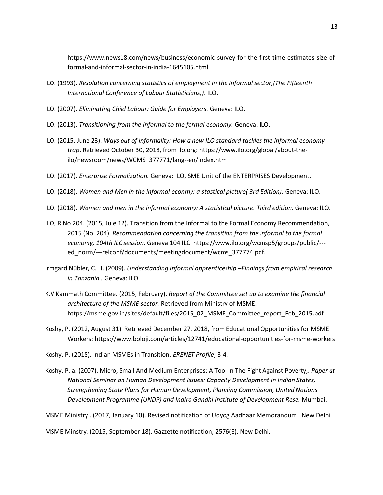https://www.news18.com/news/business/economic-survey-for-the-first-time-estimates-size-offormal-and-informal-sector-in-india-1645105.html

- ILO. (1993). *Resolution concerning statistics of employment in the informal sector,(The Fifteenth International Conference of Labour Statisticians,)*. ILO.
- ILO. (2007). *Eliminating Child Labour: Guide for Employers.* Geneva: ILO.

l

- ILO. (2013). *Transitioning from the informal to the formal economy.* Geneva: ILO.
- ILO. (2015, June 23). *Ways out of informality: How a new ILO standard tackles the informal economy trap*. Retrieved October 30, 2018, from ilo.org: https://www.ilo.org/global/about-theilo/newsroom/news/WCMS\_377771/lang--en/index.htm
- ILO. (2017). *Enterprise Formalization.* Geneva: ILO, SME Unit of the ENTERPRISES Development.
- ILO. (2018). *Women and Men in the informal econmy: a stastical picture( 3rd Edition).* Geneva: ILO.
- ILO. (2018). *Women and men in the informal economy: A statistical picture. Third edition.* Geneva: ILO.
- ILO, R No 204. (2015, Jule 12). Transition from the Informal to the Formal Economy Recommendation, 2015 (No. 204). *Recommendation concerning the transition from the informal to the formal economy, 104th ILC session*. Geneva 104 ILC: https://www.ilo.org/wcmsp5/groups/public/-- ed\_norm/---relconf/documents/meetingdocument/wcms\_377774.pdf.
- Irmgard Nübler, C. H. (2009). *Understanding informal apprenticeship –Findings from empirical research in Tanzania .* Geneva: ILO.
- K.V Kammath Committee. (2015, February). *Report of the Committee set up to examine the financial architecture of the MSME sector.* Retrieved from Ministry of MSME: https://msme.gov.in/sites/default/files/2015\_02\_MSME\_Committee\_report\_Feb\_2015.pdf
- Koshy, P. (2012, August 31). Retrieved December 27, 2018, from Educational Opportunities for MSME Workers: https://www.boloji.com/articles/12741/educational-opportunities-for-msme-workers
- Koshy, P. (2018). Indian MSMEs in Transition. *ERENET Profile*, 3-4.
- Koshy, P. a. (2007). Micro, Small And Medium Enterprises: A Tool In The Fight Against Poverty,. *Paper at National Seminar on Human Development Issues: Capacity Development in Indian States, Strengthening State Plans for Human Development, Planning Commission, United Nations Development Programme (UNDP) and Indira Gandhi Institute of Development Rese.* Mumbai.

MSME Ministry . (2017, January 10). Revised notification of Udyog Aadhaar Memorandum . New Delhi.

MSME Minstry. (2015, September 18). Gazzette notification, 2576(E). New Delhi.